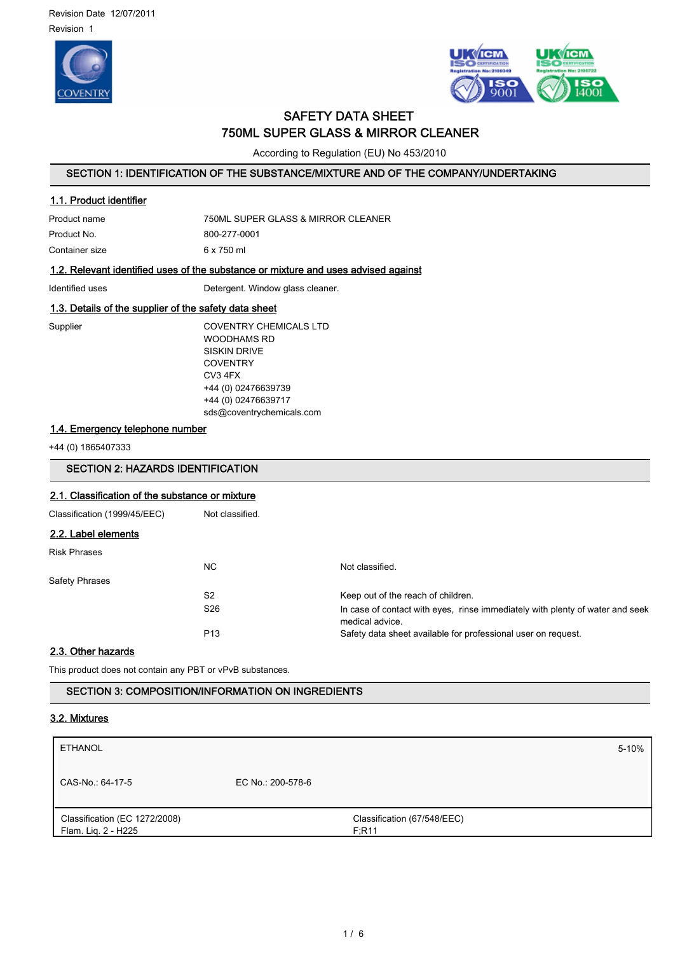



# SAFETY DATA SHEET 750ML SUPER GLASS & MIRROR CLEANER

According to Regulation (EU) No 453/2010

# SECTION 1: IDENTIFICATION OF THE SUBSTANCE/MIXTURE AND OF THE COMPANY/UNDERTAKING

#### 1.1. Product identifier

| Product name   | 750ML SUPER GLASS & MIRROR CLEANER |
|----------------|------------------------------------|
| Product No.    | 800-277-0001                       |
| Container size | 6 x 750 ml                         |

## 1.2. Relevant identified uses of the substance or mixture and uses advised against

Identified uses **Identified** uses **Detergent.** Window glass cleaner.

# 1.3. Details of the supplier of the safety data sheet

Supplier COVENTRY CHEMICALS LTD WOODHAMS RD SISKIN DRIVE **COVENTRY** CV3 4FX +44 (0) 02476639739 +44 (0) 02476639717 sds@coventrychemicals.com

# 1.4. Emergency telephone number

+44 (0) 1865407333

# SECTION 2: HAZARDS IDENTIFICATION

# 2.1. Classification of the substance or mixture

| Classification (1999/45/EEC) | Not classified. |                                                                                                  |
|------------------------------|-----------------|--------------------------------------------------------------------------------------------------|
| 2.2. Label elements          |                 |                                                                                                  |
| <b>Risk Phrases</b>          |                 |                                                                                                  |
|                              | NC.             | Not classified.                                                                                  |
| <b>Safety Phrases</b>        |                 |                                                                                                  |
|                              | S <sub>2</sub>  | Keep out of the reach of children.                                                               |
|                              | S <sub>26</sub> | In case of contact with eyes, rinse immediately with plenty of water and seek<br>medical advice. |
|                              | P <sub>13</sub> | Safety data sheet available for professional user on request.                                    |

### 2.3. Other hazards

This product does not contain any PBT or vPvB substances.

SECTION 3: COMPOSITION/INFORMATION ON INGREDIENTS

### 3.2. Mixtures

| <b>ETHANOL</b>                                       |                   |                                      | $5 - 10%$ |
|------------------------------------------------------|-------------------|--------------------------------------|-----------|
| CAS-No.: 64-17-5                                     | EC No.: 200-578-6 |                                      |           |
| Classification (EC 1272/2008)<br>Flam. Liq. 2 - H225 |                   | Classification (67/548/EEC)<br>F;R11 |           |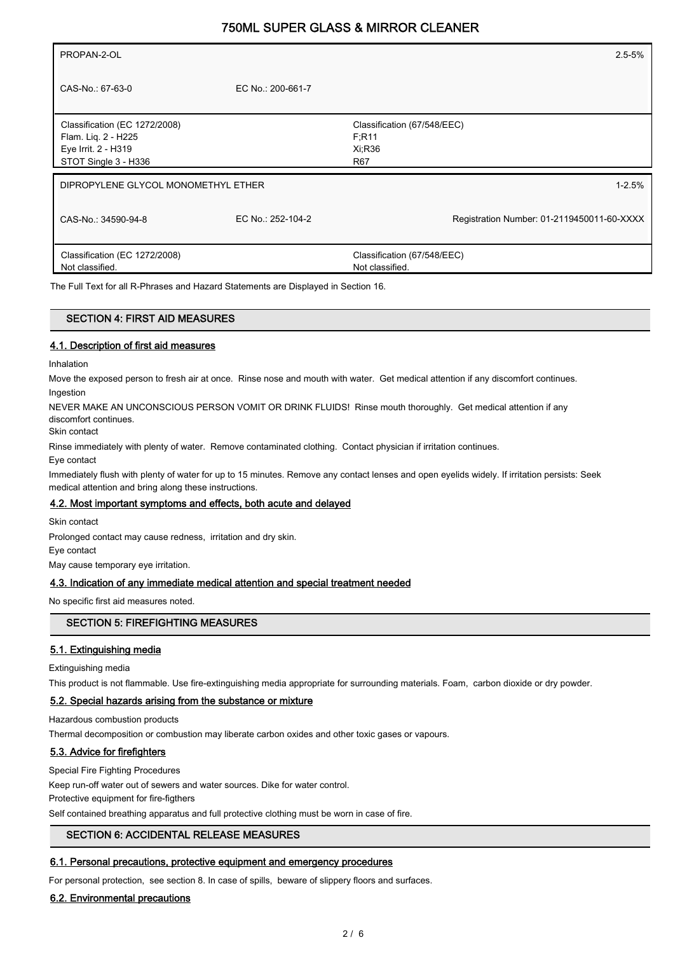| PROPAN-2-OL                                                                                         |                   | $2.5 - 5%$                                               |
|-----------------------------------------------------------------------------------------------------|-------------------|----------------------------------------------------------|
| CAS-No.: 67-63-0                                                                                    | EC No.: 200-661-7 |                                                          |
| Classification (EC 1272/2008)<br>Flam. Lig. 2 - H225<br>Eye Irrit. 2 - H319<br>STOT Single 3 - H336 |                   | Classification (67/548/EEC)<br>F;R11<br>$Xi$ :R36<br>R67 |
| DIPROPYLENE GLYCOL MONOMETHYL ETHER                                                                 |                   | $1 - 2.5%$                                               |
| CAS-No.: 34590-94-8                                                                                 | EC No.: 252-104-2 | Registration Number: 01-2119450011-60-XXXX               |
| Classification (EC 1272/2008)<br>Not classified.                                                    |                   | Classification (67/548/EEC)<br>Not classified.           |

The Full Text for all R-Phrases and Hazard Statements are Displayed in Section 16.

# SECTION 4: FIRST AID MEASURES

### 4.1. Description of first aid measures

Inhalation

Move the exposed person to fresh air at once. Rinse nose and mouth with water. Get medical attention if any discomfort continues. Ingestion

NEVER MAKE AN UNCONSCIOUS PERSON VOMIT OR DRINK FLUIDS! Rinse mouth thoroughly. Get medical attention if any discomfort continues.

Skin contact

Rinse immediately with plenty of water. Remove contaminated clothing. Contact physician if irritation continues.

Eye contact

Immediately flush with plenty of water for up to 15 minutes. Remove any contact lenses and open eyelids widely. If irritation persists: Seek medical attention and bring along these instructions.

#### 4.2. Most important symptoms and effects, both acute and delayed

Skin contact

Prolonged contact may cause redness, irritation and dry skin.

Eye contact

May cause temporary eye irritation.

### 4.3. Indication of any immediate medical attention and special treatment needed

No specific first aid measures noted.

### SECTION 5: FIREFIGHTING MEASURES

# 5.1. Extinguishing media

Extinguishing media

This product is not flammable. Use fire-extinguishing media appropriate for surrounding materials. Foam, carbon dioxide or dry powder.

### 5.2. Special hazards arising from the substance or mixture

Hazardous combustion products

Thermal decomposition or combustion may liberate carbon oxides and other toxic gases or vapours.

## 5.3. Advice for firefighters

Special Fire Fighting Procedures

Keep run-off water out of sewers and water sources. Dike for water control.

Protective equipment for fire-figthers

Self contained breathing apparatus and full protective clothing must be worn in case of fire.

### SECTION 6: ACCIDENTAL RELEASE MEASURES

# 6.1. Personal precautions, protective equipment and emergency procedures

For personal protection, see section 8. In case of spills, beware of slippery floors and surfaces.

## 6.2. Environmental precautions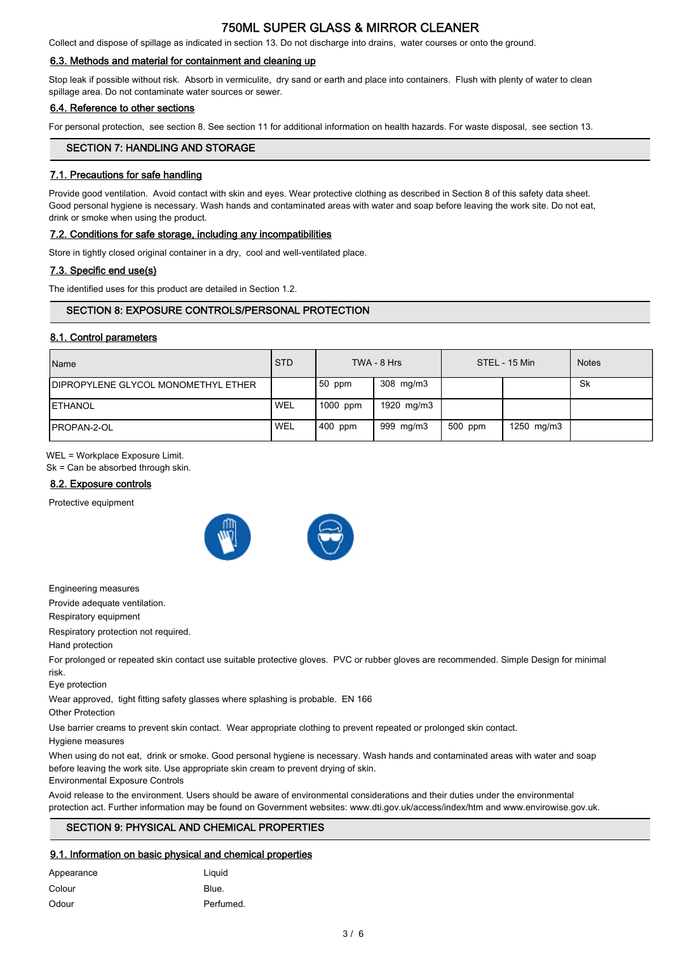Collect and dispose of spillage as indicated in section 13. Do not discharge into drains, water courses or onto the ground.

### 6.3. Methods and material for containment and cleaning up

Stop leak if possible without risk. Absorb in vermiculite, dry sand or earth and place into containers. Flush with plenty of water to clean spillage area. Do not contaminate water sources or sewer.

# 6.4. Reference to other sections

For personal protection, see section 8. See section 11 for additional information on health hazards. For waste disposal, see section 13.

## SECTION 7: HANDLING AND STORAGE

# 7.1. Precautions for safe handling

Provide good ventilation. Avoid contact with skin and eyes. Wear protective clothing as described in Section 8 of this safety data sheet. Good personal hygiene is necessary. Wash hands and contaminated areas with water and soap before leaving the work site. Do not eat, drink or smoke when using the product.

#### 7.2. Conditions for safe storage, including any incompatibilities

Store in tightly closed original container in a dry, cool and well-ventilated place.

### 7.3. Specific end use(s)

The identified uses for this product are detailed in Section 1.2.

# SECTION 8: EXPOSURE CONTROLS/PERSONAL PROTECTION

### 8.1. Control parameters

| <b>Name</b>                                 | <b>STD</b> |           | TWA - 8 Hrs |         | STEL - 15 Min | <b>Notes</b> |
|---------------------------------------------|------------|-----------|-------------|---------|---------------|--------------|
| <b>IDIPROPYLENE GLYCOL MONOMETHYL ETHER</b> |            | $50$ ppm  | 308 mg/m3   |         |               | Sk           |
| <b>ETHANOL</b>                              | <b>WEL</b> | 1000 ppm  | 1920 mg/m3  |         |               |              |
| <b>IPROPAN-2-OL</b>                         | <b>WEL</b> | $400$ ppm | 999 mg/m3   | 500 ppm | 1250 mg/m3    |              |

WEL = Workplace Exposure Limit.

Sk = Can be absorbed through skin.

### 8.2. Exposure controls

Protective equipment



Engineering measures

Provide adequate ventilation.

Respiratory equipment

Respiratory protection not required.

### Hand protection

For prolonged or repeated skin contact use suitable protective gloves. PVC or rubber gloves are recommended. Simple Design for minimal risk.

Eye protection

Wear approved, tight fitting safety glasses where splashing is probable. EN 166

Other Protection

Use barrier creams to prevent skin contact. Wear appropriate clothing to prevent repeated or prolonged skin contact.

#### Hygiene measures

When using do not eat, drink or smoke. Good personal hygiene is necessary. Wash hands and contaminated areas with water and soap before leaving the work site. Use appropriate skin cream to prevent drying of skin. Environmental Exposure Controls

Avoid release to the environment. Users should be aware of environmental considerations and their duties under the environmental protection act. Further information may be found on Government websites: www.dti.gov.uk/access/index/htm and www.envirowise.gov.uk.

# SECTION 9: PHYSICAL AND CHEMICAL PROPERTIES

### 9.1. Information on basic physical and chemical properties

| Appearance | Liquid    |
|------------|-----------|
| Colour     | Blue.     |
| Odour      | Perfumed. |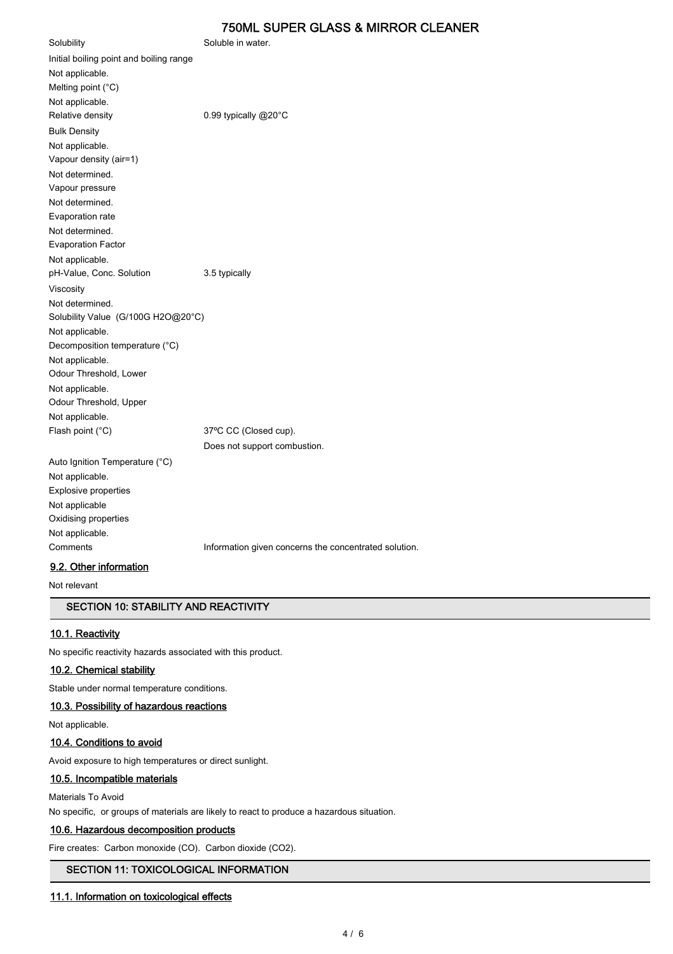Solubility Soluble in water. Initial boiling point and boiling range Not applicable. Melting point (°C) Not applicable. Relative density **D.99 typically @20°C** Bulk Density Not applicable. Vapour density (air=1) Not determined. Vapour pressure Not determined. Evaporation rate Not determined. Evaporation Factor Not applicable. pH-Value, Conc. Solution 3.5 typically Viscosity Not determined. Solubility Value (G/100G H2O@20°C) Not applicable. Decomposition temperature (°C) Not applicable. Odour Threshold, Lower Not applicable. Odour Threshold, Upper Not applicable. Flash point (°C) 37°C CC (Closed cup). Does not support combustion. Auto Ignition Temperature (°C) Not applicable.

Explosive properties Not applicable Oxidising properties Not applicable.

Comments **Information given concerns the concentrated solution.** 

# 9.2. Other information

Not relevant

# SECTION 10: STABILITY AND REACTIVITY

### 10.1. Reactivity

No specific reactivity hazards associated with this product.

# 10.2. Chemical stability

Stable under normal temperature conditions.

# 10.3. Possibility of hazardous reactions

Not applicable.

# 10.4. Conditions to avoid

Avoid exposure to high temperatures or direct sunlight.

# 10.5. Incompatible materials

### Materials To Avoid

No specific, or groups of materials are likely to react to produce a hazardous situation.

# 10.6. Hazardous decomposition products

Fire creates: Carbon monoxide (CO). Carbon dioxide (CO2).

# SECTION 11: TOXICOLOGICAL INFORMATION

### 11.1. Information on toxicological effects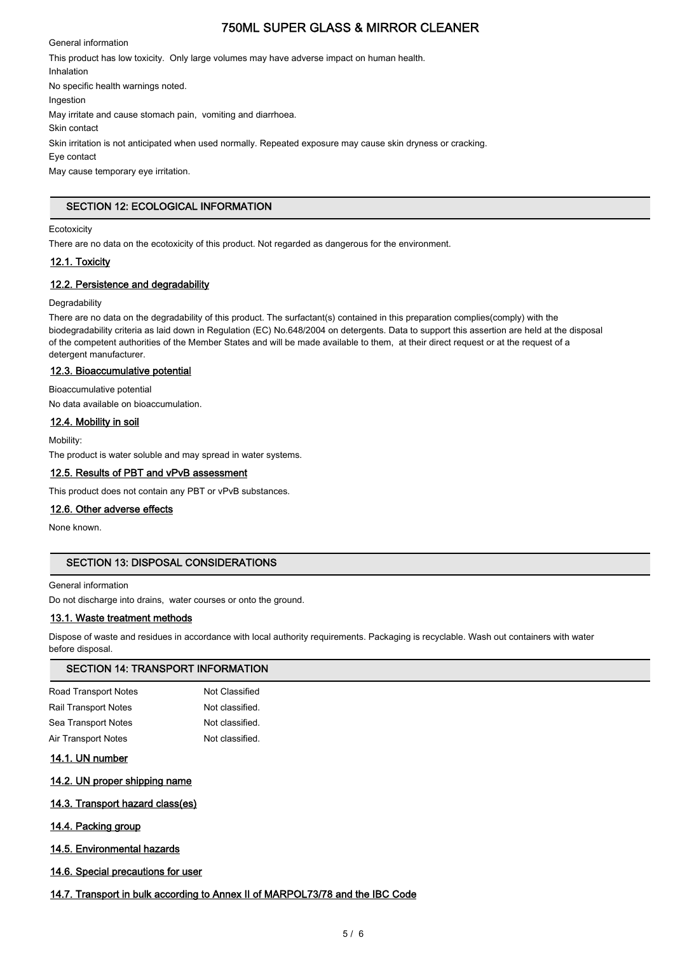General information This product has low toxicity. Only large volumes may have adverse impact on human health. Inhalation No specific health warnings noted. Ingestion May irritate and cause stomach pain, vomiting and diarrhoea. Skin contact Skin irritation is not anticipated when used normally. Repeated exposure may cause skin dryness or cracking. Eye contact May cause temporary eye irritation.

# SECTION 12: ECOLOGICAL INFORMATION

### **Ecotoxicity**

There are no data on the ecotoxicity of this product. Not regarded as dangerous for the environment.

## 12.1. Toxicity

## 12.2. Persistence and degradability

#### Degradability

There are no data on the degradability of this product. The surfactant(s) contained in this preparation complies(comply) with the biodegradability criteria as laid down in Regulation (EC) No.648/2004 on detergents. Data to support this assertion are held at the disposal of the competent authorities of the Member States and will be made available to them, at their direct request or at the request of a detergent manufacturer.

## 12.3. Bioaccumulative potential

Bioaccumulative potential

No data available on bioaccumulation.

## 12.4. Mobility in soil

Mobility:

The product is water soluble and may spread in water systems.

## 12.5. Results of PBT and vPvB assessment

This product does not contain any PBT or vPvB substances.

### 12.6. Other adverse effects

None known.

# SECTION 13: DISPOSAL CONSIDERATIONS

#### General information

Do not discharge into drains, water courses or onto the ground.

### 13.1. Waste treatment methods

Dispose of waste and residues in accordance with local authority requirements. Packaging is recyclable. Wash out containers with water before disposal.

### SECTION 14: TRANSPORT INFORMATION

| Road Transport Notes        | Not Classified  |
|-----------------------------|-----------------|
| <b>Rail Transport Notes</b> | Not classified. |
| Sea Transport Notes         | Not classified. |
| Air Transport Notes         | Not classified. |
|                             |                 |

# 14.1. UN number

### 14.2. UN proper shipping name

### 14.3. Transport hazard class(es)

### 14.4. Packing group

### 14.5. Environmental hazards

### 14.6. Special precautions for user

### 14.7. Transport in bulk according to Annex II of MARPOL73/78 and the IBC Code